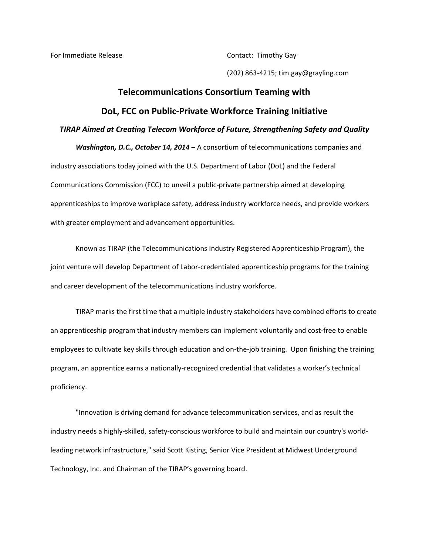For Immediate Release **Contact:** Timothy Gay

(202) 863-4215; tim.gay@grayling.com

## **Telecommunications Consortium Teaming with DoL, FCC on Public-Private Workforce Training Initiative** *TIRAP Aimed at Creating Telecom Workforce of Future, Strengthening Safety and Quality*

*Washington, D.C., October 14, 2014* – A consortium of telecommunications companies and industry associations today joined with the U.S. Department of Labor (DoL) and the Federal Communications Commission (FCC) to unveil a public-private partnership aimed at developing apprenticeships to improve workplace safety, address industry workforce needs, and provide workers with greater employment and advancement opportunities.

Known as TIRAP (the Telecommunications Industry Registered Apprenticeship Program), the joint venture will develop Department of Labor-credentialed apprenticeship programs for the training and career development of the telecommunications industry workforce.

TIRAP marks the first time that a multiple industry stakeholders have combined efforts to create an apprenticeship program that industry members can implement voluntarily and cost-free to enable employees to cultivate key skills through education and on-the-job training. Upon finishing the training program, an apprentice earns a nationally-recognized credential that validates a worker's technical proficiency.

"Innovation is driving demand for advance telecommunication services, and as result the industry needs a highly-skilled, safety-conscious workforce to build and maintain our country's worldleading network infrastructure," said Scott Kisting, Senior Vice President at Midwest Underground Technology, Inc. and Chairman of the TIRAP's governing board.